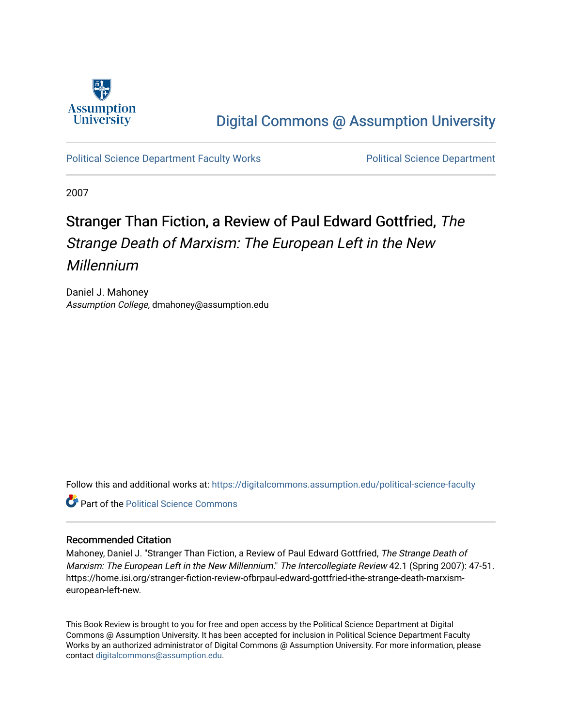

### [Digital Commons @ Assumption University](https://digitalcommons.assumption.edu/)

### [Political Science Department Faculty Works](https://digitalcommons.assumption.edu/political-science-faculty) **Political Science Department**

2007

## Stranger Than Fiction, a Review of Paul Edward Gottfried, The Strange Death of Marxism: The European Left in the New Millennium

Daniel J. Mahoney Assumption College, dmahoney@assumption.edu

Follow this and additional works at: [https://digitalcommons.assumption.edu/political-science-faculty](https://digitalcommons.assumption.edu/political-science-faculty?utm_source=digitalcommons.assumption.edu%2Fpolitical-science-faculty%2F24&utm_medium=PDF&utm_campaign=PDFCoverPages)

**Part of the Political Science Commons** 

#### Recommended Citation

Mahoney, Daniel J. "Stranger Than Fiction, a Review of Paul Edward Gottfried, The Strange Death of Marxism: The European Left in the New Millennium." The Intercollegiate Review 42.1 (Spring 2007): 47-51. https://home.isi.org/stranger-fiction-review-ofbrpaul-edward-gottfried-ithe-strange-death-marxismeuropean-left-new.

This Book Review is brought to you for free and open access by the Political Science Department at Digital Commons @ Assumption University. It has been accepted for inclusion in Political Science Department Faculty Works by an authorized administrator of Digital Commons @ Assumption University. For more information, please contact [digitalcommons@assumption.edu.](mailto:digitalcommons@assumption.edu)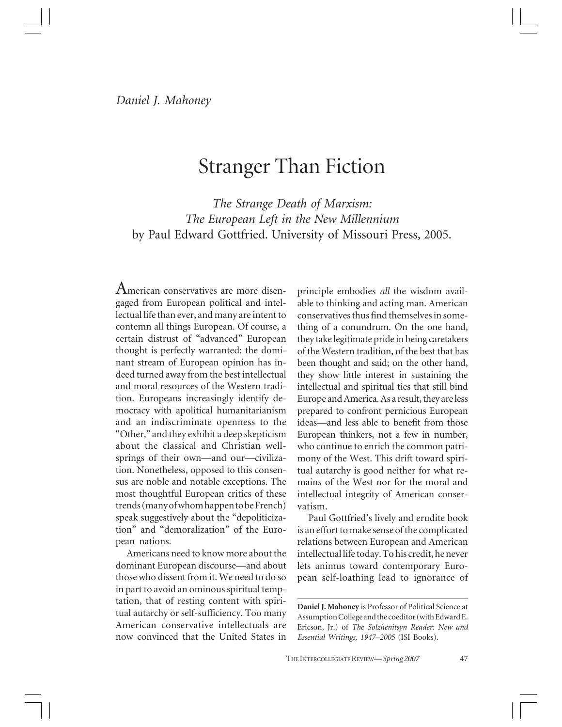# Stranger Than Fiction

*The Strange Death of Marxism: The European Left in the New Millennium* by Paul Edward Gottfried. University of Missouri Press, 2005.

American conservatives are more disengaged from European political and intellectual life than ever, and many are intent to contemn all things European. Of course, a certain distrust of "advanced" European thought is perfectly warranted: the dominant stream of European opinion has indeed turned away from the best intellectual and moral resources of the Western tradition. Europeans increasingly identify democracy with apolitical humanitarianism and an indiscriminate openness to the "Other," and they exhibit a deep skepticism about the classical and Christian wellsprings of their own—and our—civilization. Nonetheless, opposed to this consensus are noble and notable exceptions. The most thoughtful European critics of these trends (many of whom happen to be French) speak suggestively about the "depoliticization" and "demoralization" of the European nations.

Americans need to know more about the dominant European discourse—and about those who dissent from it. We need to do so in part to avoid an ominous spiritual temptation, that of resting content with spiritual autarchy or self-sufficiency. Too many American conservative intellectuals are now convinced that the United States in

principle embodies *all* the wisdom available to thinking and acting man. American conservatives thus find themselves in something of a conundrum. On the one hand, they take legitimate pride in being caretakers of the Western tradition, of the best that has been thought and said; on the other hand, they show little interest in sustaining the intellectual and spiritual ties that still bind Europe and America. As a result, they are less prepared to confront pernicious European ideas—and less able to benefit from those European thinkers, not a few in number, who continue to enrich the common patrimony of the West. This drift toward spiritual autarchy is good neither for what remains of the West nor for the moral and intellectual integrity of American conservatism.

Paul Gottfried's lively and erudite book is an effort to make sense of the complicated relations between European and American intellectual life today. To his credit, he never lets animus toward contemporary European self-loathing lead to ignorance of

**Daniel J. Mahoney** is Professor of Political Science at Assumption College and the coeditor (with Edward E. Ericson, Jr.) of *The Solzhenitsyn Reader: New and Essential Writings, 1947–2005* (ISI Books).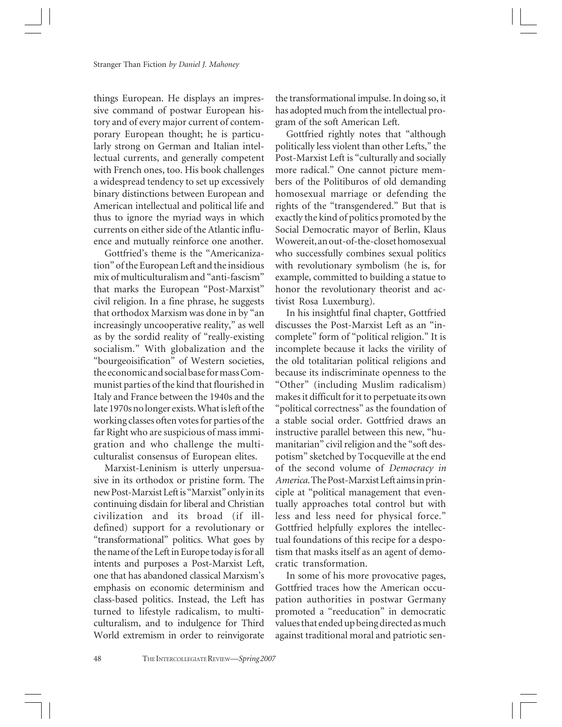things European. He displays an impressive command of postwar European history and of every major current of contemporary European thought; he is particularly strong on German and Italian intellectual currents, and generally competent with French ones, too. His book challenges a widespread tendency to set up excessively binary distinctions between European and American intellectual and political life and thus to ignore the myriad ways in which currents on either side of the Atlantic influence and mutually reinforce one another.

Gottfried's theme is the "Americanization" of the European Left and the insidious mix of multiculturalism and "anti-fascism" that marks the European "Post-Marxist" civil religion. In a fine phrase, he suggests that orthodox Marxism was done in by "an increasingly uncooperative reality," as well as by the sordid reality of "really-existing socialism." With globalization and the "bourgeoisification" of Western societies, the economic and social base for mass Communist parties of the kind that flourished in Italy and France between the 1940s and the late 1970s no longer exists. What is left of the working classes often votes for parties of the far Right who are suspicious of mass immigration and who challenge the multiculturalist consensus of European elites.

Marxist-Leninism is utterly unpersuasive in its orthodox or pristine form. The new Post-Marxist Left is "Marxist" only in its continuing disdain for liberal and Christian civilization and its broad (if illdefined) support for a revolutionary or "transformational" politics. What goes by the name of the Left in Europe today is for all intents and purposes a Post-Marxist Left, one that has abandoned classical Marxism's emphasis on economic determinism and class-based politics. Instead, the Left has turned to lifestyle radicalism, to multiculturalism, and to indulgence for Third World extremism in order to reinvigorate

the transformational impulse. In doing so, it has adopted much from the intellectual program of the soft American Left.

Gottfried rightly notes that "although politically less violent than other Lefts," the Post-Marxist Left is "culturally and socially more radical." One cannot picture members of the Politiburos of old demanding homosexual marriage or defending the rights of the "transgendered." But that is exactly the kind of politics promoted by the Social Democratic mayor of Berlin, Klaus Wowereit, an out-of-the-closet homosexual who successfully combines sexual politics with revolutionary symbolism (he is, for example, committed to building a statue to honor the revolutionary theorist and activist Rosa Luxemburg).

In his insightful final chapter, Gottfried discusses the Post-Marxist Left as an "incomplete" form of "political religion." It is incomplete because it lacks the virility of the old totalitarian political religions and because its indiscriminate openness to the "Other" (including Muslim radicalism) makes it difficult for it to perpetuate its own "political correctness" as the foundation of a stable social order. Gottfried draws an instructive parallel between this new, "humanitarian" civil religion and the "soft despotism" sketched by Tocqueville at the end of the second volume of *Democracy in America*. The Post-Marxist Left aims in principle at "political management that eventually approaches total control but with less and less need for physical force." Gottfried helpfully explores the intellectual foundations of this recipe for a despotism that masks itself as an agent of democratic transformation.

In some of his more provocative pages, Gottfried traces how the American occupation authorities in postwar Germany promoted a "reeducation" in democratic values that ended up being directed as much against traditional moral and patriotic sen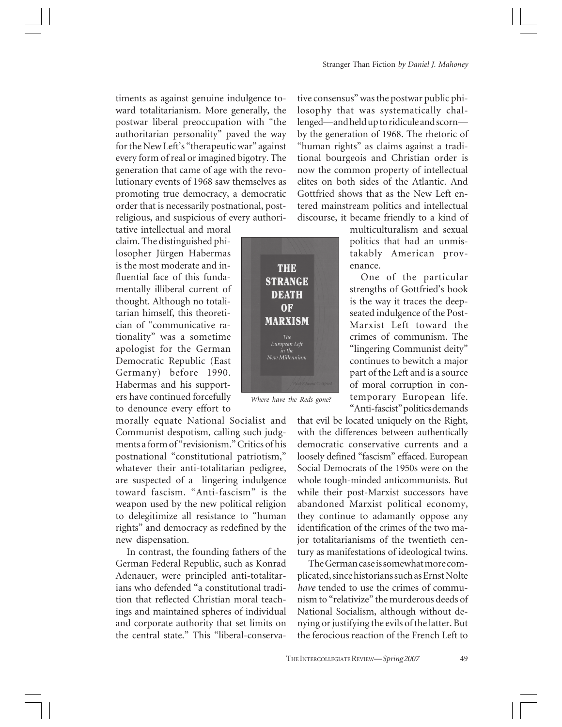timents as against genuine indulgence toward totalitarianism. More generally, the postwar liberal preoccupation with "the authoritarian personality" paved the way for the New Left's "therapeutic war" against every form of real or imagined bigotry. The generation that came of age with the revolutionary events of 1968 saw themselves as promoting true democracy, a democratic order that is necessarily postnational, postreligious, and suspicious of every authori-

tative intellectual and moral claim. The distinguished philosopher Jürgen Habermas is the most moderate and influential face of this fundamentally illiberal current of thought. Although no totalitarian himself, this theoretician of "communicative rationality" was a sometime apologist for the German Democratic Republic (East Germany) before 1990. Habermas and his supporters have continued forcefully to denounce every effort to

morally equate National Socialist and Communist despotism, calling such judgments a form of "revisionism." Critics of his postnational "constitutional patriotism," whatever their anti-totalitarian pedigree, are suspected of a lingering indulgence toward fascism. "Anti-fascism" is the weapon used by the new political religion to delegitimize all resistance to "human rights" and democracy as redefined by the new dispensation.

In contrast, the founding fathers of the German Federal Republic, such as Konrad Adenauer, were principled anti-totalitarians who defended "a constitutional tradition that reflected Christian moral teachings and maintained spheres of individual and corporate authority that set limits on the central state." This "liberal-conserva-



*Where have the Reds gone?*

tive consensus" was the postwar public philosophy that was systematically challenged—and held up to ridicule and scorn by the generation of 1968. The rhetoric of "human rights" as claims against a traditional bourgeois and Christian order is now the common property of intellectual elites on both sides of the Atlantic. And Gottfried shows that as the New Left entered mainstream politics and intellectual discourse, it became friendly to a kind of

> multiculturalism and sexual politics that had an unmistakably American provenance.

> One of the particular strengths of Gottfried's book is the way it traces the deepseated indulgence of the Post-Marxist Left toward the crimes of communism. The "lingering Communist deity" continues to bewitch a major part of the Left and is a source of moral corruption in contemporary European life. "Anti-fascist" politics demands

that evil be located uniquely on the Right, with the differences between authentically democratic conservative currents and a loosely defined "fascism" effaced. European Social Democrats of the 1950s were on the whole tough-minded anticommunists. But while their post-Marxist successors have abandoned Marxist political economy, they continue to adamantly oppose any identification of the crimes of the two major totalitarianisms of the twentieth century as manifestations of ideological twins.

The German case is somewhat more complicated, since historians such as Ernst Nolte *have* tended to use the crimes of communism to "relativize" the murderous deeds of National Socialism, although without denying or justifying the evils of the latter. But the ferocious reaction of the French Left to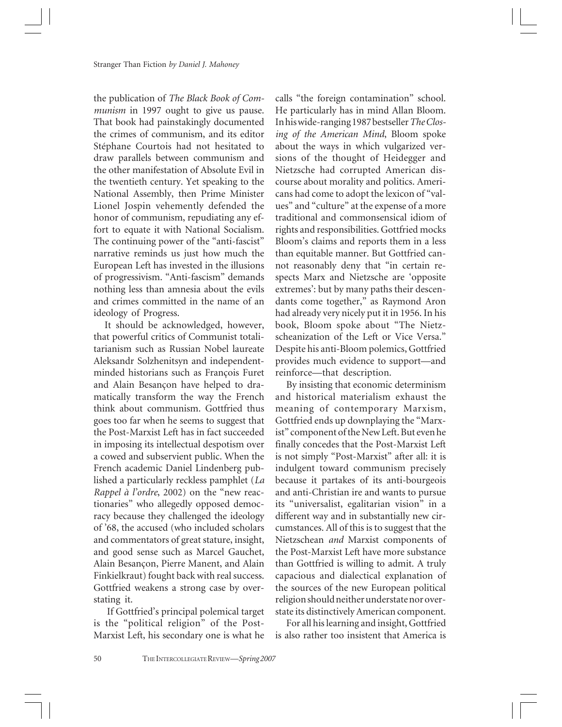the publication of *The Black Book of Communism* in 1997 ought to give us pause. That book had painstakingly documented the crimes of communism, and its editor Stéphane Courtois had not hesitated to draw parallels between communism and the other manifestation of Absolute Evil in the twentieth century. Yet speaking to the National Assembly, then Prime Minister Lionel Jospin vehemently defended the honor of communism, repudiating any effort to equate it with National Socialism. The continuing power of the "anti-fascist" narrative reminds us just how much the European Left has invested in the illusions of progressivism. "Anti-fascism" demands nothing less than amnesia about the evils and crimes committed in the name of an ideology of Progress.

It should be acknowledged, however, that powerful critics of Communist totalitarianism such as Russian Nobel laureate Aleksandr Solzhenitsyn and independentminded historians such as François Furet and Alain Besançon have helped to dramatically transform the way the French think about communism. Gottfried thus goes too far when he seems to suggest that the Post-Marxist Left has in fact succeeded in imposing its intellectual despotism over a cowed and subservient public. When the French academic Daniel Lindenberg published a particularly reckless pamphlet (*La Rappel à l'ordre*, 2002) on the "new reactionaries" who allegedly opposed democracy because they challenged the ideology of '68, the accused (who included scholars and commentators of great stature, insight, and good sense such as Marcel Gauchet, Alain Besançon, Pierre Manent, and Alain Finkielkraut) fought back with real success. Gottfried weakens a strong case by overstating it.

 If Gottfried's principal polemical target is the "political religion" of the Post-Marxist Left, his secondary one is what he

calls "the foreign contamination" school. He particularly has in mind Allan Bloom. In his wide-ranging 1987 bestseller *The Closing of the American Mind*, Bloom spoke about the ways in which vulgarized versions of the thought of Heidegger and Nietzsche had corrupted American discourse about morality and politics. Americans had come to adopt the lexicon of "values" and "culture" at the expense of a more traditional and commonsensical idiom of rights and responsibilities. Gottfried mocks Bloom's claims and reports them in a less than equitable manner. But Gottfried cannot reasonably deny that "in certain respects Marx and Nietzsche are 'opposite extremes': but by many paths their descendants come together," as Raymond Aron had already very nicely put it in 1956. In his book, Bloom spoke about "The Nietzscheanization of the Left or Vice Versa." Despite his anti-Bloom polemics, Gottfried provides much evidence to support—and reinforce—that description.

By insisting that economic determinism and historical materialism exhaust the meaning of contemporary Marxism, Gottfried ends up downplaying the "Marxist" component of the New Left. But even he finally concedes that the Post-Marxist Left is not simply "Post-Marxist" after all: it is indulgent toward communism precisely because it partakes of its anti-bourgeois and anti-Christian ire and wants to pursue its "universalist, egalitarian vision" in a different way and in substantially new circumstances. All of this is to suggest that the Nietzschean *and* Marxist components of the Post-Marxist Left have more substance than Gottfried is willing to admit. A truly capacious and dialectical explanation of the sources of the new European political religion should neither understate nor overstate its distinctively American component.

For all his learning and insight, Gottfried is also rather too insistent that America is